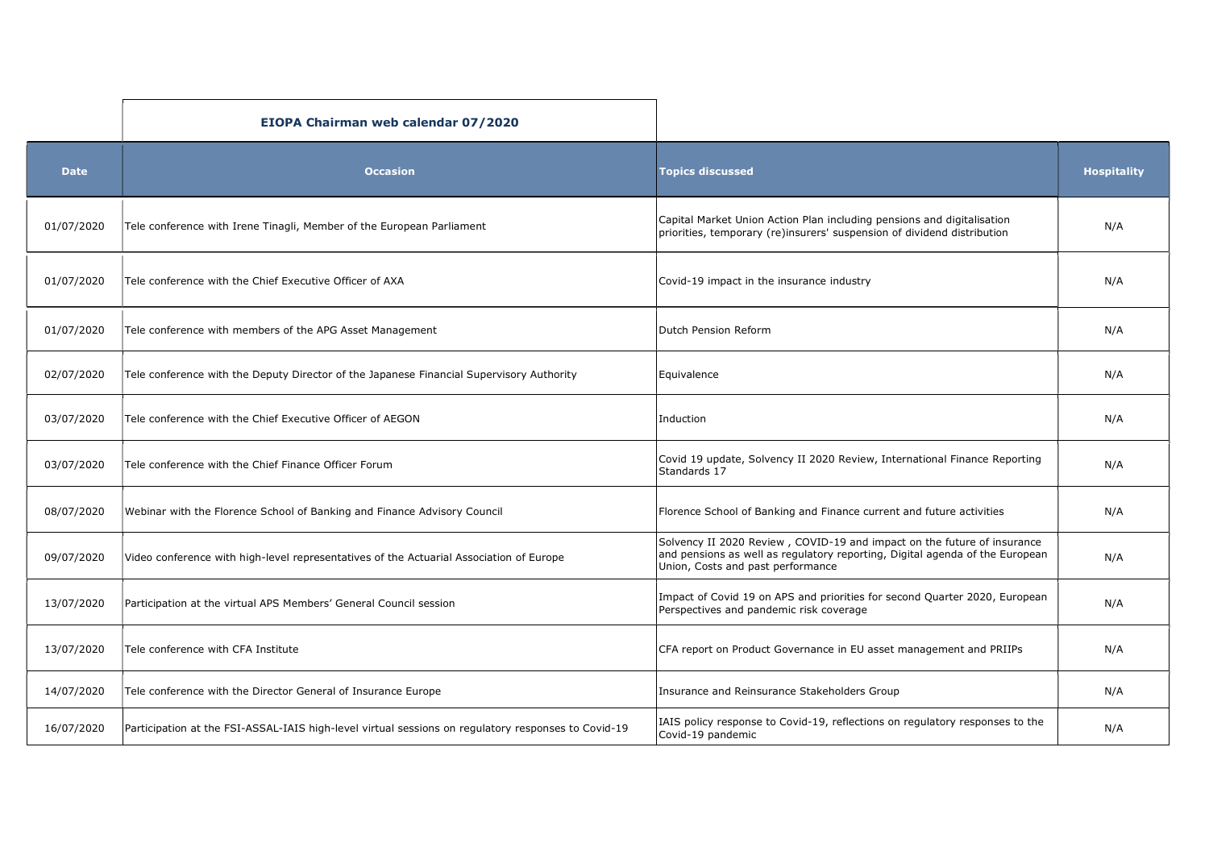|             | EIOPA Chairman web calendar 07/2020                                                                 |                                                                                                                                                                                              |                    |
|-------------|-----------------------------------------------------------------------------------------------------|----------------------------------------------------------------------------------------------------------------------------------------------------------------------------------------------|--------------------|
| <b>Date</b> | <b>Occasion</b>                                                                                     | <b>Topics discussed</b>                                                                                                                                                                      | <b>Hospitality</b> |
| 01/07/2020  | Tele conference with Irene Tinagli, Member of the European Parliament                               | Capital Market Union Action Plan including pensions and digitalisation<br>priorities, temporary (re)insurers' suspension of dividend distribution                                            | N/A                |
| 01/07/2020  | Tele conference with the Chief Executive Officer of AXA                                             | Covid-19 impact in the insurance industry                                                                                                                                                    | N/A                |
| 01/07/2020  | Tele conference with members of the APG Asset Management                                            | Dutch Pension Reform                                                                                                                                                                         | N/A                |
| 02/07/2020  | Tele conference with the Deputy Director of the Japanese Financial Supervisory Authority            | Equivalence                                                                                                                                                                                  | N/A                |
| 03/07/2020  | Tele conference with the Chief Executive Officer of AEGON                                           | Induction                                                                                                                                                                                    | N/A                |
| 03/07/2020  | Tele conference with the Chief Finance Officer Forum                                                | Covid 19 update, Solvency II 2020 Review, International Finance Reporting<br>Standards 17                                                                                                    | N/A                |
| 08/07/2020  | Webinar with the Florence School of Banking and Finance Advisory Council                            | Florence School of Banking and Finance current and future activities                                                                                                                         | N/A                |
| 09/07/2020  | Video conference with high-level representatives of the Actuarial Association of Europe             | Solvency II 2020 Review, COVID-19 and impact on the future of insurance<br>and pensions as well as regulatory reporting, Digital agenda of the European<br>Union, Costs and past performance | N/A                |
| 13/07/2020  | Participation at the virtual APS Members' General Council session                                   | Impact of Covid 19 on APS and priorities for second Quarter 2020, European<br>Perspectives and pandemic risk coverage                                                                        | N/A                |
| 13/07/2020  | Tele conference with CFA Institute                                                                  | CFA report on Product Governance in EU asset management and PRIIPs                                                                                                                           | N/A                |
| 14/07/2020  | Tele conference with the Director General of Insurance Europe                                       | Insurance and Reinsurance Stakeholders Group                                                                                                                                                 | N/A                |
| 16/07/2020  | Participation at the FSI-ASSAL-IAIS high-level virtual sessions on regulatory responses to Covid-19 | IAIS policy response to Covid-19, reflections on regulatory responses to the<br>Covid-19 pandemic                                                                                            | N/A                |